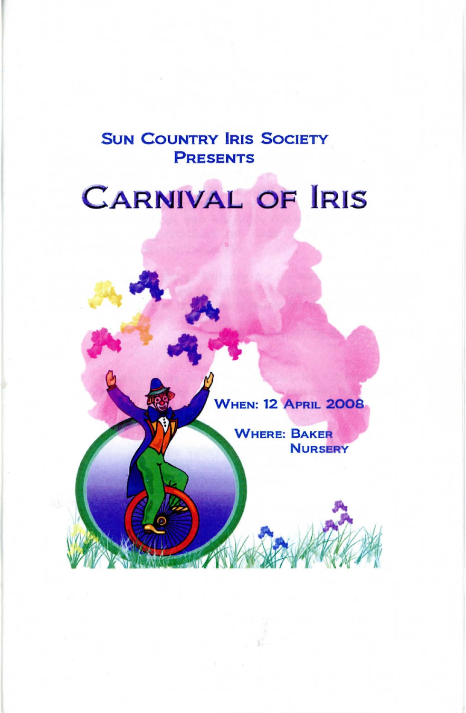# SUN COUNTRY IRIS SOCIETY PRESENTS

# **CARNIVAL OF IRIS**



**WHERE: BAKER NURSERY**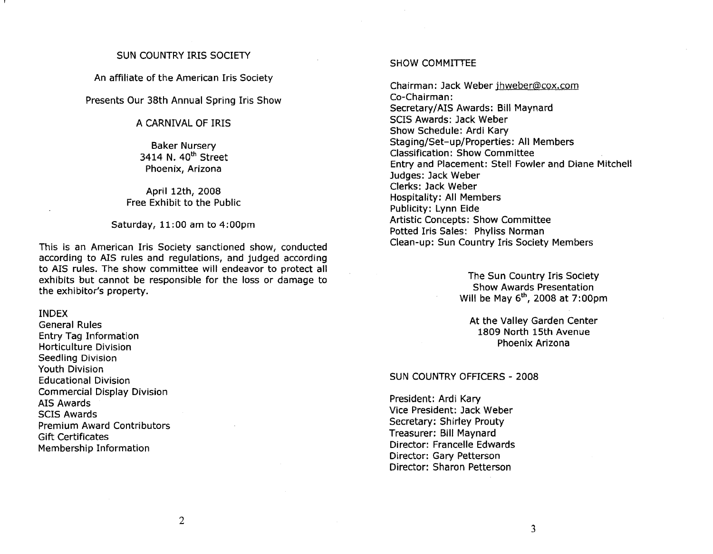#### SUN COUNTRY IRIS SOCIETY

An affiliate of the American Iris Society

Presents Our 38th Annual Spring Iris Show

## A CARNIVAL OF IRIS

Baker Nursery 3414 N. 40<sup>th</sup> Street Phoenix, Arizona

April 12th, 2008 Free Exhibit to the Public

Saturday, 11 :00 am to 4:00pm

This is an American Iris Society sanctioned show, conducted according to AIS rules and regulations, and judged according to AIS rules. The show committee will endeavor to protect all exhibits but cannot be responsible for the loss or damage to the exhibitor's property.

#### INDEX

General Rules Entry Tag Information Horticulture Division Seedling Division Youth Division Educational Division Commercial Display Division AIS Awards SCIS Awards Premium Award Contributors Gift Certificates Membership Information

#### SHOW COMMITTEE

Chairman: Jack Weber jhweber@cox.com Co-Chairman: Secretary/AIS Awards: Bill Maynard SCIS Awards: Jack Weber Show Schedule: Ardi Kary Staging/Set-up/Properties: All Members Classification: Show Committee Entry and Placement: Stell Fowler and Diane Mitchell Judges: Jack Weber Clerks: Jack Weber Hospitality: All Members Publicity: Lynn Eide Artistic Concepts: Show Committee Potted Iris Sales: Phyliss Norman Clean-up: Sun Country Iris Society Members

> The Sun Country Iris Society Show Awards Presentation Will be May  $6<sup>th</sup>$ , 2008 at 7:00pm

At the Valley Garden Center 1809 North 15th Avenue Phoenix Arizona

#### SUN COUNTRY OFFICERS - 2008

President: Ardi Kary Vice President: Jack Weber Secretary: Shirley Prouty Treasurer: Bill Maynard Director: Francelle Edwards Director: Gary Petterson Director: Sharon Petterson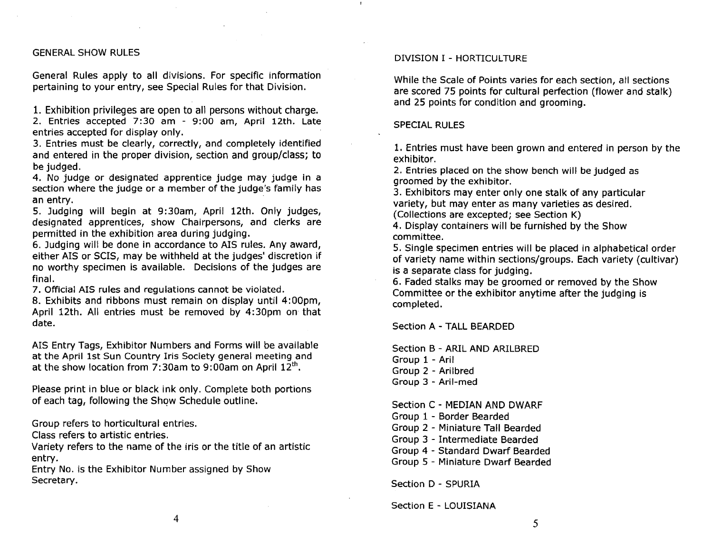#### GENERAL SHOW RULES

General Rules apply to all divisions. For specific information pertaining to your entry, see Special Rules for that Division.

1. Exhibition privileges are open to all persons without charge.

2. Entries accepted 7:30 am - 9:00 am, April 12th. Late entries accepted for display only.

3. Entries must be clearly, correctly, and completely identified and entered in the proper division, section and group/class; to be judged.

4. No judge or deSignated apprentice judge may judge in a section where the judge or a member of the judge's family has an entry.

5. Judging will begin at 9: 30am, April 12th. Only judges, designated apprentices, show Chairpersons, and clerks are permitted in the exhibition area during judging.

6. Judging will be done in accordance to AIS rules. Any award, either AIS or SCIS, may be withheld at the judges' discretion if no worthy specimen is available. Decisions of the judges are final.

7. Official AIS rules and regulations cannot be violated.

8. Exhibits and ribbons must remain on display until 4:00pm, April 12th. All entries must be removed by 4:30pm on that date.

AIS Entry Tags, Exhibitor Numbers and Forms will be available at the April 1st Sun Country Iris Society general meeting and at the show location from 7:30am to 9:00am on April  $12<sup>th</sup>$ .

Please print in blue or black ink only. Complete both portions of each tag, following the Show Schedule outline.

Group refers to horticultural entries.

Class refers to artistic entries.

Variety refers to the name of the iris or the title of an artistic entry.

Entry No. is the Exhibitor Number assigned by Show Secretary.

#### DIVISION I - HORTICULTURE

While the Scale of Points varies for each section, all sections are scored 75 points for cultural perfection (flower and stalk) and 25 points for condition and grooming.

#### SPECIAL RULES

1. Entries must have been grown and entered in person by the exhibitor.

2. Entries placed on the show bench will be judged as groomed by the exhibitor.

3. Exhibitors may enter only one stalk of any particular variety, but may enter as many varieties as desired. (Collections are excepted; see Section K)

4. Display containers will be furnished by the Show committee.

5. Single specimen entries will be placed in alphabetical order of variety name within sections/groups. Each variety (cultivar) is a separate class for judging.

6. Faded stalks may be groomed or removed by the Show Committee or the exhibitor anytime after the judging is completed.

Section A - TALL BEARDED

Section B - ARIL AND ARILBRED Group 1 - Aril Group 2 - Arilbred Group 3 - Aril-med

Section C - MEDIAN AND DWARF Group 1 - Border Bearded Group 2 - Miniature Tall Bearded Group 3 - Intermediate Bearded

Group 4 - Standard Dwarf Bearded

Group 5 - Miniature Dwarf Bearded

Section D - SPURIA

Section E - LOUISIANA

4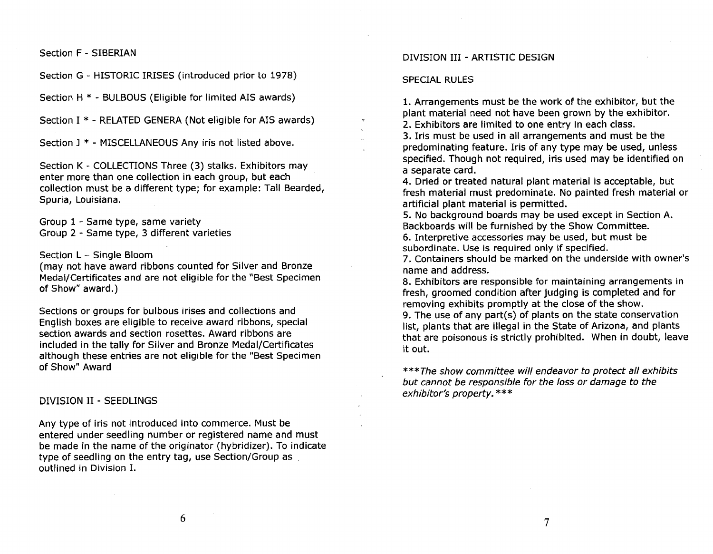Section F - SIBERIAN

Section G - HISTORIC IRISES (introduced prior to 1978)

Section H \* - BULBOUS (Eligible for limited AIS awards)

Section I \* - RELATED GENERA (Not eligible for AIS awards)

Section J \* - MISCELLANEOUS Any iris not listed above.

Section K - COLLECTIONS Three (3) stalks. Exhibitors may enter more than one collection in each group, but each collection must be a different type; for example: Tall Bearded, Spuria, Louisiana.

Group 1 - Same type, same variety Group 2 - Same type, 3 different varieties

Section L - Single Bloom

(may not have award ribbons counted for Silver and Bronze Medal/Certificates and are not eligible for the "Best Specimen of Show" award.)

Sections or groups for bulbous irises and collections and English boxes are eligible to receive award ribbons, special section awards and section rosettes. Award ribbons are included in the tally for Silver and Bronze Medal/Certificates although these entries are not eligible for the "Best Specimen of Show" Award

DIVISION II - SEEDLINGS

Any type of iris not introduced into commerce. Must be entered under seedling number or registered name and must be made in the name of the originator (hybridizer). To indicate type of seedling on the entry tag, use Section/Group as outlined in Division 1.

#### DIVISION III - ARTISTIC DESIGN

#### SPECIAL RULES

1. Arrangements must be the work of the exhibitor, but the plant material need not have been grown by the exhibitor. 2. Exhibitors are limited to one entry in each class.

3. Iris must be used in all arrangements and must be the predominating feature. Iris of any type may be used, unless specified. Though not required, iris used may be identified on a separate card.

4. Dried or treated natural plant material is acceptable, but fresh material must predominate. No painted fresh material or artificial plant material is permitted.

5. No background boards may be used except in Section A. Backboards will be furnished by the Show Committee.

6. Interpretive accessories may be used, but must be subordinate. Use is required only if specified.

7. Containers should be marked on the underside with owner's name and address.

8. Exhibitors are responsible for maintaining arrangements in fresh, groomed condition after judging is completed and for removing exhibits promptly at the close of the show.

9. The use of any part(s) of plants on the state conservation list, plants that are illegal in the State of Arizona, and plants that are poisonous is strictly prohibited. When in doubt, leave it out.

\*\*\*The show committee will endeavor to protect all exhibits but cannot be responsible for the loss or damage to the exhibitor's property. \*\*\*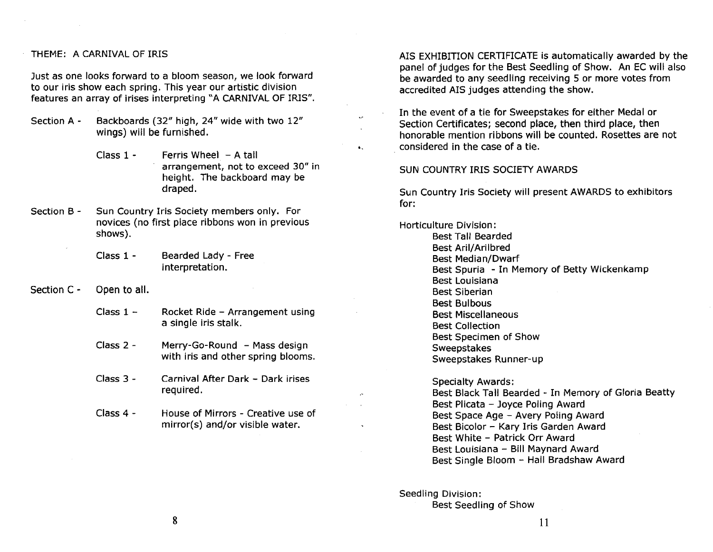#### THEME: A CARNIVAL OF IRIS

Just as one looks forward to a bloom season, we look forward to our iris show each spring. This year our artistic division features an array of irises interpreting "A CARNIVAL OF IRIS''.

- Section A Backboards (32" high, 24" wide with two 12" wings) will be furnished.
	- Class  $1 -$  Ferris Wheel  $-$  A tall arrangement, not to exceed 30" in height. The backboard may be draped.
- Section B Sun Country Iris Society members only. For novices (no first place ribbons won in previous shows).
	- Class 1 Bearded Lady - Free interpretation.
- Section C Open to all.
	- Class  $1 -$ Rocket Ride - Arrangement using a single iris stalk.
	- Class 2 Merry-Go-Round - Mass design with iris and other spring blooms.
	- Class 3 Carnival After Dark - Dark irises required.
	- Class 4 House of Mirrors - Creative use of mirror(s) and/or visible water.

AIS EXHIBITION CERTIFICATE is automatically awarded by the panel of judges for the Best Seedling of Show. An EC will also be awarded to any seedling receiving 5 or more votes from accredited AIS judges attending the show.

In the event of a tie for Sweepstakes for either Medal or Section Certificates; second place, then third place, then honorable mention ribbons will be counted. Rosettes are not considered in the case of a tie.

#### SUN COUNTRY IRIS SOCIETY AWARDS

Sun Country Iris Society will present AWARDS to exhibitors for:

Horticulture Division:

"

Best Tall Bearded Best Aril/Arilbred Best Median/Dwarf Best Spuria - In Memory of Betty Wickenkamp Best Louisiana Best Siberian Best Bulbous Best Miscellaneous Best Collection Best Specimen of Show **Sweepstakes** Sweepstakes Runner-up

Specialty Awards: Best Black Tall Bearded - In Memory of Gloria Beatty Best Plicata - Joyce Poling Award Best Space Age - Avery Poling Award Best Bicolor - Kary Iris Garden Award Best White - Patrick Orr Award Best Louisiana - Bill Maynard Award Best Single Bloom - Hall Bradshaw Award

Seedling Division: Best Seedling of Show